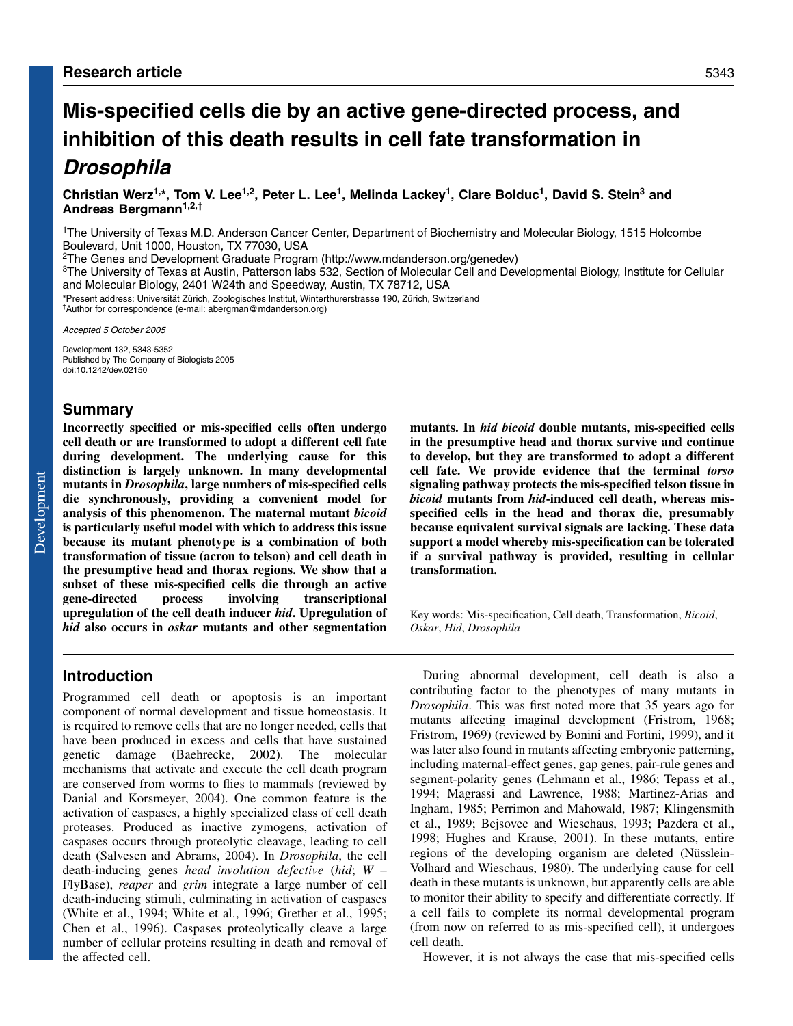# **Mis-specified cells die by an active gene-directed process, and inhibition of this death results in cell fate transformation in Drosophila**

Christian Werz<sup>1,\*</sup>, Tom V. Lee<sup>1,2</sup>, Peter L. Lee<sup>1</sup>, Melinda Lackey<sup>1</sup>, Clare Bolduc<sup>1</sup>, David S. Stein<sup>3</sup> and **Andreas Bergmann1,2,†**

1The University of Texas M.D. Anderson Cancer Center, Department of Biochemistry and Molecular Biology, 1515 Holcombe Boulevard, Unit 1000, Houston, TX 77030, USA

2The Genes and Development Graduate Program (http://www.mdanderson.org/genedev)

<sup>3</sup>The University of Texas at Austin, Patterson labs 532, Section of Molecular Cell and Developmental Biology, Institute for Cellular and Molecular Biology, 2401 W24th and Speedway, Austin, TX 78712, USA

\*Present address: Universität Zürich, Zoologisches Institut, Winterthurerstrasse 190, Zürich, Switzerland

†Author for correspondence (e-mail: abergman@mdanderson.org)

Accepted 5 October 2005

Development 132, 5343-5352 Published by The Company of Biologists 2005 doi:10.1242/dev.02150

## **Summary**

**Incorrectly specified or mis-specified cells often undergo cell death or are transformed to adopt a different cell fate during development. The underlying cause for this distinction is largely unknown. In many developmental mutants in** *Drosophila***, large numbers of mis-specified cells die synchronously, providing a convenient model for analysis of this phenomenon. The maternal mutant** *bicoid* **is particularly useful model with which to address this issue because its mutant phenotype is a combination of both transformation of tissue (acron to telson) and cell death in the presumptive head and thorax regions. We show that a subset of these mis-specified cells die through an active gene-directed process involving transcriptional upregulation of the cell death inducer** *hid***. Upregulation of** *hid* **also occurs in** *oskar* **mutants and other segmentation**

**mutants. In** *hid bicoid* **double mutants, mis-specified cells in the presumptive head and thorax survive and continue to develop, but they are transformed to adopt a different cell fate. We provide evidence that the terminal** *torso* **signaling pathway protects the mis-specified telson tissue in** *bicoid* **mutants from** *hid***-induced cell death, whereas misspecified cells in the head and thorax die, presumably because equivalent survival signals are lacking. These data support a model whereby mis-specification can be tolerated if a survival pathway is provided, resulting in cellular transformation.**

Key words: Mis-specification, Cell death, Transformation, *Bicoid*, *Oskar*, *Hid*, *Drosophila*

# **Introduction**

Programmed cell death or apoptosis is an important component of normal development and tissue homeostasis. It is required to remove cells that are no longer needed, cells that have been produced in excess and cells that have sustained genetic damage (Baehrecke, 2002). The molecular mechanisms that activate and execute the cell death program are conserved from worms to flies to mammals (reviewed by Danial and Korsmeyer, 2004). One common feature is the activation of caspases, a highly specialized class of cell death proteases. Produced as inactive zymogens, activation of caspases occurs through proteolytic cleavage, leading to cell death (Salvesen and Abrams, 2004). In *Drosophila*, the cell death-inducing genes *head involution defective* (*hid*; *W* – FlyBase), *reaper* and *grim* integrate a large number of cell death-inducing stimuli, culminating in activation of caspases (White et al., 1994; White et al., 1996; Grether et al., 1995; Chen et al., 1996). Caspases proteolytically cleave a large number of cellular proteins resulting in death and removal of the affected cell.

During abnormal development, cell death is also a contributing factor to the phenotypes of many mutants in *Drosophila*. This was first noted more that 35 years ago for mutants affecting imaginal development (Fristrom, 1968; Fristrom, 1969) (reviewed by Bonini and Fortini, 1999), and it was later also found in mutants affecting embryonic patterning, including maternal-effect genes, gap genes, pair-rule genes and segment-polarity genes (Lehmann et al., 1986; Tepass et al., 1994; Magrassi and Lawrence, 1988; Martinez-Arias and Ingham, 1985; Perrimon and Mahowald, 1987; Klingensmith et al., 1989; Bejsovec and Wieschaus, 1993; Pazdera et al., 1998; Hughes and Krause, 2001). In these mutants, entire regions of the developing organism are deleted (Nüsslein-Volhard and Wieschaus, 1980). The underlying cause for cell death in these mutants is unknown, but apparently cells are able to monitor their ability to specify and differentiate correctly. If a cell fails to complete its normal developmental program (from now on referred to as mis-specified cell), it undergoes cell death.

However, it is not always the case that mis-specified cells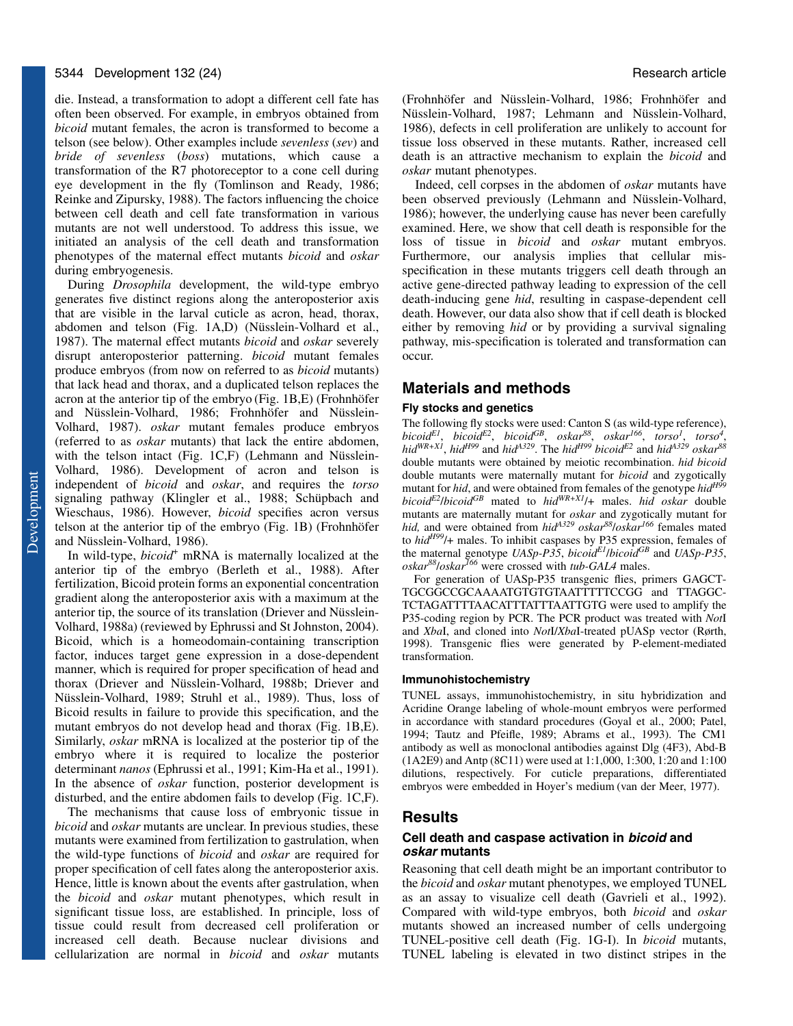die. Instead, a transformation to adopt a different cell fate has often been observed. For example, in embryos obtained from *bicoid* mutant females, the acron is transformed to become a telson (see below). Other examples include *sevenless* (*sev*) and *bride of sevenless* (*boss*) mutations, which cause a transformation of the R7 photoreceptor to a cone cell during eye development in the fly (Tomlinson and Ready, 1986; Reinke and Zipursky, 1988). The factors influencing the choice between cell death and cell fate transformation in various mutants are not well understood. To address this issue, we initiated an analysis of the cell death and transformation phenotypes of the maternal effect mutants *bicoid* and *oskar* during embryogenesis.

During *Drosophila* development, the wild-type embryo generates five distinct regions along the anteroposterior axis that are visible in the larval cuticle as acron, head, thorax, abdomen and telson (Fig. 1A,D) (Nüsslein-Volhard et al., 1987). The maternal effect mutants *bicoid* and *oskar* severely disrupt anteroposterior patterning. *bicoid* mutant females produce embryos (from now on referred to as *bicoid* mutants) that lack head and thorax, and a duplicated telson replaces the acron at the anterior tip of the embryo (Fig. 1B,E) (Frohnhöfer and Nüsslein-Volhard, 1986; Frohnhöfer and Nüsslein-Volhard, 1987). *oskar* mutant females produce embryos (referred to as *oskar* mutants) that lack the entire abdomen, with the telson intact (Fig. 1C,F) (Lehmann and Nüsslein-Volhard, 1986). Development of acron and telson is independent of *bicoid* and *oskar*, and requires the *torso* signaling pathway (Klingler et al., 1988; Schüpbach and Wieschaus, 1986). However, *bicoid* specifies acron versus telson at the anterior tip of the embryo (Fig. 1B) (Frohnhöfer and Nüsslein-Volhard, 1986).

In wild-type, *bicoid*<sup>+</sup> mRNA is maternally localized at the anterior tip of the embryo (Berleth et al., 1988). After fertilization, Bicoid protein forms an exponential concentration gradient along the anteroposterior axis with a maximum at the anterior tip, the source of its translation (Driever and Nüsslein-Volhard, 1988a) (reviewed by Ephrussi and St Johnston, 2004). Bicoid, which is a homeodomain-containing transcription factor, induces target gene expression in a dose-dependent manner, which is required for proper specification of head and thorax (Driever and Nüsslein-Volhard, 1988b; Driever and Nüsslein-Volhard, 1989; Struhl et al., 1989). Thus, loss of Bicoid results in failure to provide this specification, and the mutant embryos do not develop head and thorax (Fig. 1B,E). Similarly, *oskar* mRNA is localized at the posterior tip of the embryo where it is required to localize the posterior determinant *nanos* (Ephrussi et al., 1991; Kim-Ha et al., 1991). In the absence of *oskar* function, posterior development is disturbed, and the entire abdomen fails to develop (Fig. 1C,F).

The mechanisms that cause loss of embryonic tissue in *bicoid* and *oskar* mutants are unclear. In previous studies, these mutants were examined from fertilization to gastrulation, when the wild-type functions of *bicoid* and *oskar* are required for proper specification of cell fates along the anteroposterior axis. Hence, little is known about the events after gastrulation, when the *bicoid* and *oskar* mutant phenotypes, which result in significant tissue loss, are established. In principle, loss of tissue could result from decreased cell proliferation or increased cell death. Because nuclear divisions and cellularization are normal in *bicoid* and *oskar* mutants

(Frohnhöfer and Nüsslein-Volhard, 1986; Frohnhöfer and Nüsslein-Volhard, 1987; Lehmann and Nüsslein-Volhard, 1986), defects in cell proliferation are unlikely to account for tissue loss observed in these mutants. Rather, increased cell death is an attractive mechanism to explain the *bicoid* and *oskar* mutant phenotypes.

Indeed, cell corpses in the abdomen of *oskar* mutants have been observed previously (Lehmann and Nüsslein-Volhard, 1986); however, the underlying cause has never been carefully examined. Here, we show that cell death is responsible for the loss of tissue in *bicoid* and *oskar* mutant embryos. Furthermore, our analysis implies that cellular misspecification in these mutants triggers cell death through an active gene-directed pathway leading to expression of the cell death-inducing gene *hid*, resulting in caspase-dependent cell death. However, our data also show that if cell death is blocked either by removing *hid* or by providing a survival signaling pathway, mis-specification is tolerated and transformation can occur.

## **Materials and methods**

#### **Fly stocks and genetics**

The following fly stocks were used: Canton S (as wild-type reference), *bicoidE1*, *bicoidE2*, *bicoidGB*, *oskar<sup>88</sup>*, *oskar<sup>166</sup>*, *torso<sup>1</sup>* , *torso<sup>4</sup>* , *hid*<sup>WR+X1</sup>, *hid*<sup>H99</sup> and *hid*<sup>A329</sup>. The *hid*<sup>H99</sup> *bicoid*<sup>E2</sup> and *hid*<sup>A329</sup> *oskar*<sup>88</sup> double mutants were obtained by meiotic recombination. *hid bicoid* double mutants were maternally mutant for *bicoid* and zygotically mutant for *hid*, and were obtained from females of the genotype *hid*<sup>H99</sup> *bicoidE2*/*bicoidGB* mated to *hidWR+X1*/+ males. *hid oskar* double mutants are maternally mutant for *oskar* and zygotically mutant for *hid,* and were obtained from *hidA329 oskar<sup>88</sup>*/*oskar166* females mated to *hidH99*/+ males. To inhibit caspases by P35 expression, females of the maternal genotype *UASp-P35*, *bicoidE1*/*bicoidGB* and *UASp-P35*, *oskar88*/*oskar166* were crossed with *tub-GAL4* males.

For generation of UASp-P35 transgenic flies, primers GAGCT-TGCGGCCGCAAAATGTGTGTAATTTTTCCGG and TTAGGC-TCTAGATTTTAACATTTATTTAATTGTG were used to amplify the P35-coding region by PCR. The PCR product was treated with *Not*I and *Xba*I, and cloned into *Not*I/*Xba*I-treated pUASp vector (Rørth, 1998). Transgenic flies were generated by P-element-mediated transformation.

#### **Immunohistochemistry**

TUNEL assays, immunohistochemistry, in situ hybridization and Acridine Orange labeling of whole-mount embryos were performed in accordance with standard procedures (Goyal et al., 2000; Patel, 1994; Tautz and Pfeifle, 1989; Abrams et al., 1993). The CM1 antibody as well as monoclonal antibodies against Dlg (4F3), Abd-B (1A2E9) and Antp (8C11) were used at 1:1,000, 1:300, 1:20 and 1:100 dilutions, respectively. For cuticle preparations, differentiated embryos were embedded in Hoyer's medium (van der Meer, 1977).

## **Results**

#### **Cell death and caspase activation in bicoid and oskar mutants**

Reasoning that cell death might be an important contributor to the *bicoid* and *oskar* mutant phenotypes, we employed TUNEL as an assay to visualize cell death (Gavrieli et al., 1992). Compared with wild-type embryos, both *bicoid* and *oskar* mutants showed an increased number of cells undergoing TUNEL-positive cell death (Fig. 1G-I). In *bicoid* mutants, TUNEL labeling is elevated in two distinct stripes in the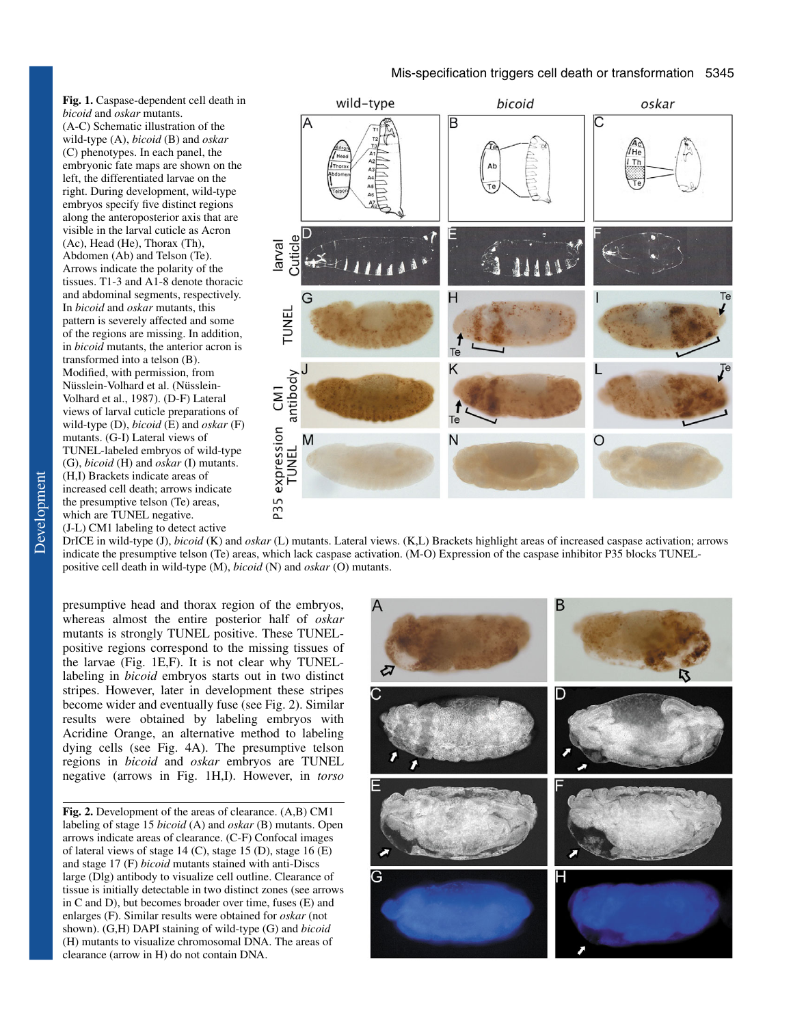**Fig. 1.** Caspase-dependent cell death in *bicoid* and *oskar* mutants.

(A-C) Schematic illustration of the wild-type (A), *bicoid* (B) and *oskar* (C) phenotypes. In each panel, the embryonic fate maps are shown on the left, the differentiated larvae on the right. During development, wild-type embryos specify five distinct regions along the anteroposterior axis that are visible in the larval cuticle as Acron (Ac), Head (He), Thorax (Th), Abdomen (Ab) and Telson (Te). Arrows indicate the polarity of the tissues. T1-3 and A1-8 denote thoracic and abdominal segments, respectively. In *bicoid* and *oskar* mutants, this pattern is severely affected and some of the regions are missing. In addition, in *bicoid* mutants, the anterior acron is transformed into a telson (B). Modified, with permission, from Nüsslein-Volhard et al. (Nüsslein-Volhard et al., 1987). (D-F) Lateral views of larval cuticle preparations of wild-type (D), *bicoid* (E) and *oskar* (F) mutants. (G-I) Lateral views of TUNEL-labeled embryos of wild-type (G), *bicoid* (H) and *oskar* (I) mutants. (H,I) Brackets indicate areas of increased cell death; arrows indicate the presumptive telson (Te) areas, which are TUNEL negative. (J-L) CM1 labeling to detect active



DrICE in wild-type (J), *bicoid* (K) and *oskar* (L) mutants. Lateral views. (K,L) Brackets highlight areas of increased caspase activation; arrows indicate the presumptive telson (Te) areas, which lack caspase activation. (M-O) Expression of the caspase inhibitor P35 blocks TUNELpositive cell death in wild-type (M), *bicoid* (N) and *oskar* (O) mutants.

presumptive head and thorax region of the embryos, whereas almost the entire posterior half of *oskar* mutants is strongly TUNEL positive. These TUNELpositive regions correspond to the missing tissues of the larvae (Fig. 1E,F). It is not clear why TUNELlabeling in *bicoid* embryos starts out in two distinct stripes. However, later in development these stripes become wider and eventually fuse (see Fig. 2). Similar results were obtained by labeling embryos with Acridine Orange, an alternative method to labeling dying cells (see Fig. 4A). The presumptive telson regions in *bicoid* and *oskar* embryos are TUNEL negative (arrows in Fig. 1H,I). However, in *torso*

**Fig. 2.** Development of the areas of clearance. (A,B) CM1 labeling of stage 15 *bicoid* (A) and *oskar* (B) mutants. Open arrows indicate areas of clearance. (C-F) Confocal images of lateral views of stage 14 (C), stage 15 (D), stage 16 (E) and stage 17 (F) *bicoid* mutants stained with anti-Discs large (Dlg) antibody to visualize cell outline. Clearance of tissue is initially detectable in two distinct zones (see arrows in C and D), but becomes broader over time, fuses (E) and enlarges (F). Similar results were obtained for *oskar* (not shown). (G,H) DAPI staining of wild-type (G) and *bicoid* (H) mutants to visualize chromosomal DNA. The areas of clearance (arrow in H) do not contain DNA.

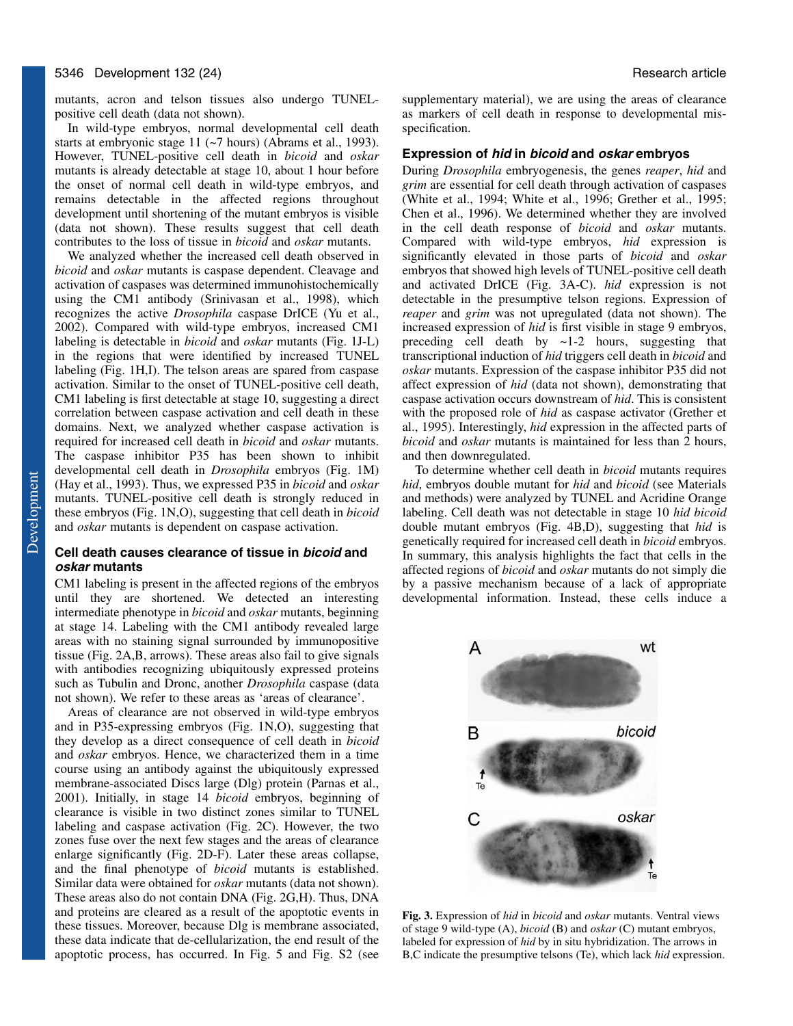#### 5346 Development 132 (24) Research article

mutants, acron and telson tissues also undergo TUNELpositive cell death (data not shown).

In wild-type embryos, normal developmental cell death starts at embryonic stage 11 (~7 hours) (Abrams et al., 1993). However, TUNEL-positive cell death in *bicoid* and *oskar* mutants is already detectable at stage 10, about 1 hour before the onset of normal cell death in wild-type embryos, and remains detectable in the affected regions throughout development until shortening of the mutant embryos is visible (data not shown). These results suggest that cell death contributes to the loss of tissue in *bicoid* and *oskar* mutants.

We analyzed whether the increased cell death observed in *bicoid* and *oskar* mutants is caspase dependent. Cleavage and activation of caspases was determined immunohistochemically using the CM1 antibody (Srinivasan et al., 1998), which recognizes the active *Drosophila* caspase DrICE (Yu et al., 2002). Compared with wild-type embryos, increased CM1 labeling is detectable in *bicoid* and *oskar* mutants (Fig. 1J-L) in the regions that were identified by increased TUNEL labeling (Fig. 1H,I). The telson areas are spared from caspase activation. Similar to the onset of TUNEL-positive cell death, CM1 labeling is first detectable at stage 10, suggesting a direct correlation between caspase activation and cell death in these domains. Next, we analyzed whether caspase activation is required for increased cell death in *bicoid* and *oskar* mutants. The caspase inhibitor P35 has been shown to inhibit developmental cell death in *Drosophila* embryos (Fig. 1M) (Hay et al., 1993). Thus, we expressed P35 in *bicoid* and *oskar* mutants. TUNEL-positive cell death is strongly reduced in these embryos (Fig. 1N,O), suggesting that cell death in *bicoid* and *oskar* mutants is dependent on caspase activation.

#### **Cell death causes clearance of tissue in bicoid and oskar mutants**

CM1 labeling is present in the affected regions of the embryos until they are shortened. We detected an interesting intermediate phenotype in *bicoid* and *oskar* mutants, beginning at stage 14. Labeling with the CM1 antibody revealed large areas with no staining signal surrounded by immunopositive tissue (Fig. 2A,B, arrows). These areas also fail to give signals with antibodies recognizing ubiquitously expressed proteins such as Tubulin and Dronc, another *Drosophila* caspase (data not shown). We refer to these areas as 'areas of clearance'.

Areas of clearance are not observed in wild-type embryos and in P35-expressing embryos (Fig. 1N,O), suggesting that they develop as a direct consequence of cell death in *bicoid* and *oskar* embryos. Hence, we characterized them in a time course using an antibody against the ubiquitously expressed membrane-associated Discs large (Dlg) protein (Parnas et al., 2001). Initially, in stage 14 *bicoid* embryos, beginning of clearance is visible in two distinct zones similar to TUNEL labeling and caspase activation (Fig. 2C). However, the two zones fuse over the next few stages and the areas of clearance enlarge significantly (Fig. 2D-F). Later these areas collapse, and the final phenotype of *bicoid* mutants is established. Similar data were obtained for *oskar* mutants (data not shown). These areas also do not contain DNA (Fig. 2G,H). Thus, DNA and proteins are cleared as a result of the apoptotic events in these tissues. Moreover, because Dlg is membrane associated, these data indicate that de-cellularization, the end result of the apoptotic process, has occurred. In Fig. 5 and Fig. S2 (see

supplementary material), we are using the areas of clearance as markers of cell death in response to developmental misspecification.

#### **Expression of hid in bicoid and oskar embryos**

During *Drosophila* embryogenesis, the genes *reaper*, *hid* and *grim* are essential for cell death through activation of caspases (White et al., 1994; White et al., 1996; Grether et al., 1995; Chen et al., 1996). We determined whether they are involved in the cell death response of *bicoid* and *oskar* mutants. Compared with wild-type embryos, *hid* expression is significantly elevated in those parts of *bicoid* and *oskar* embryos that showed high levels of TUNEL-positive cell death and activated DrICE (Fig. 3A-C). *hid* expression is not detectable in the presumptive telson regions. Expression of *reaper* and *grim* was not upregulated (data not shown). The increased expression of *hid* is first visible in stage 9 embryos, preceding cell death by ~1-2 hours, suggesting that transcriptional induction of *hid* triggers cell death in *bicoid* and *oskar* mutants. Expression of the caspase inhibitor P35 did not affect expression of *hid* (data not shown), demonstrating that caspase activation occurs downstream of *hid*. This is consistent with the proposed role of *hid* as caspase activator (Grether et al., 1995). Interestingly, *hid* expression in the affected parts of *bicoid* and *oskar* mutants is maintained for less than 2 hours, and then downregulated.

To determine whether cell death in *bicoid* mutants requires *hid*, embryos double mutant for *hid* and *bicoid* (see Materials and methods) were analyzed by TUNEL and Acridine Orange labeling. Cell death was not detectable in stage 10 *hid bicoid* double mutant embryos (Fig. 4B,D), suggesting that *hid* is genetically required for increased cell death in *bicoid* embryos. In summary, this analysis highlights the fact that cells in the affected regions of *bicoid* and *oskar* mutants do not simply die by a passive mechanism because of a lack of appropriate developmental information. Instead, these cells induce a

wt



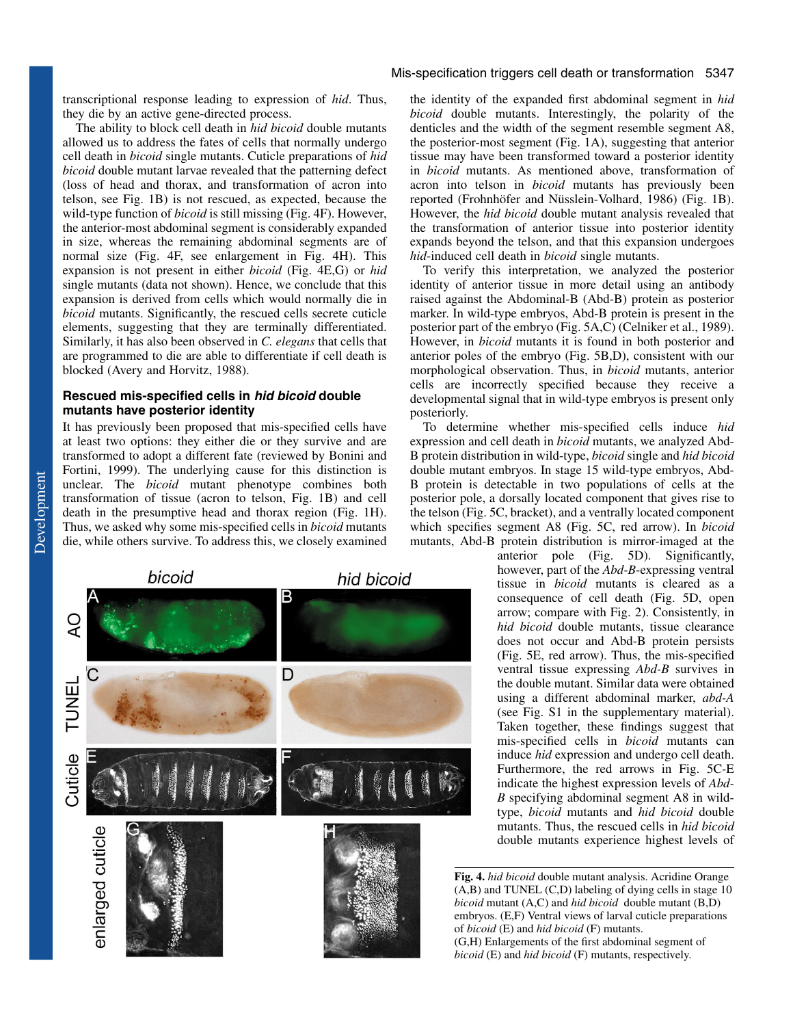transcriptional response leading to expression of *hid*. Thus, they die by an active gene-directed process.

The ability to block cell death in *hid bicoid* double mutants allowed us to address the fates of cells that normally undergo cell death in *bicoid* single mutants. Cuticle preparations of *hid bicoid* double mutant larvae revealed that the patterning defect (loss of head and thorax, and transformation of acron into telson, see Fig. 1B) is not rescued, as expected, because the wild-type function of *bicoid* is still missing (Fig. 4F). However, the anterior-most abdominal segment is considerably expanded in size, whereas the remaining abdominal segments are of normal size (Fig. 4F, see enlargement in Fig. 4H). This expansion is not present in either *bicoid* (Fig. 4E,G) or *hid* single mutants (data not shown). Hence, we conclude that this expansion is derived from cells which would normally die in *bicoid* mutants. Significantly, the rescued cells secrete cuticle elements, suggesting that they are terminally differentiated. Similarly, it has also been observed in *C. elegans* that cells that are programmed to die are able to differentiate if cell death is blocked (Avery and Horvitz, 1988).

## **Rescued mis-specified cells in hid bicoid double mutants have posterior identity**

It has previously been proposed that mis-specified cells have at least two options: they either die or they survive and are transformed to adopt a different fate (reviewed by Bonini and Fortini, 1999). The underlying cause for this distinction is unclear. The *bicoid* mutant phenotype combines both transformation of tissue (acron to telson, Fig. 1B) and cell death in the presumptive head and thorax region (Fig. 1H). Thus, we asked why some mis-specified cells in *bicoid* mutants die, while others survive. To address this, we closely examined the identity of the expanded first abdominal segment in *hid bicoid* double mutants. Interestingly, the polarity of the denticles and the width of the segment resemble segment A8, the posterior-most segment (Fig. 1A), suggesting that anterior tissue may have been transformed toward a posterior identity in *bicoid* mutants. As mentioned above, transformation of acron into telson in *bicoid* mutants has previously been reported (Frohnhöfer and Nüsslein-Volhard, 1986) (Fig. 1B). However, the *hid bicoid* double mutant analysis revealed that the transformation of anterior tissue into posterior identity expands beyond the telson, and that this expansion undergoes *hid*-induced cell death in *bicoid* single mutants.

To verify this interpretation, we analyzed the posterior identity of anterior tissue in more detail using an antibody raised against the Abdominal-B (Abd-B) protein as posterior marker. In wild-type embryos, Abd-B protein is present in the posterior part of the embryo (Fig. 5A,C) (Celniker et al., 1989). However, in *bicoid* mutants it is found in both posterior and anterior poles of the embryo (Fig. 5B,D), consistent with our morphological observation. Thus, in *bicoid* mutants, anterior cells are incorrectly specified because they receive a developmental signal that in wild-type embryos is present only posteriorly.

To determine whether mis-specified cells induce *hid* expression and cell death in *bicoid* mutants, we analyzed Abd-B protein distribution in wild-type, *bicoid* single and *hid bicoid* double mutant embryos. In stage 15 wild-type embryos, Abd-B protein is detectable in two populations of cells at the posterior pole, a dorsally located component that gives rise to the telson (Fig. 5C, bracket), and a ventrally located component which specifies segment A8 (Fig. 5C, red arrow). In *bicoid* mutants, Abd-B protein distribution is mirror-imaged at the

anterior pole (Fig. 5D). Significantly, however, part of the *Abd-B*-expressing ventral tissue in *bicoid* mutants is cleared as a consequence of cell death (Fig. 5D, open arrow; compare with Fig. 2). Consistently, in *hid bicoid* double mutants, tissue clearance does not occur and Abd-B protein persists (Fig. 5E, red arrow). Thus, the mis-specified ventral tissue expressing *Abd-B* survives in the double mutant. Similar data were obtained using a different abdominal marker, *abd-A* (see Fig. S1 in the supplementary material). Taken together, these findings suggest that mis-specified cells in *bicoid* mutants can induce *hid* expression and undergo cell death. Furthermore, the red arrows in Fig. 5C-E indicate the highest expression levels of *Abd-B* specifying abdominal segment A8 in wildtype, *bicoid* mutants and *hid bicoid* double mutants. Thus, the rescued cells in *hid bicoid* double mutants experience highest levels of

**Fig. 4.** *hid bicoid* double mutant analysis. Acridine Orange (A,B) and TUNEL (C,D) labeling of dying cells in stage 10 *bicoid* mutant (A,C) and *hid bicoid* double mutant (B,D) embryos. (E,F) Ventral views of larval cuticle preparations of *bicoid* (E) and *hid bicoid* (F) mutants. (G,H) Enlargements of the first abdominal segment of *bicoid* (E) and *hid bicoid* (F) mutants, respectively.

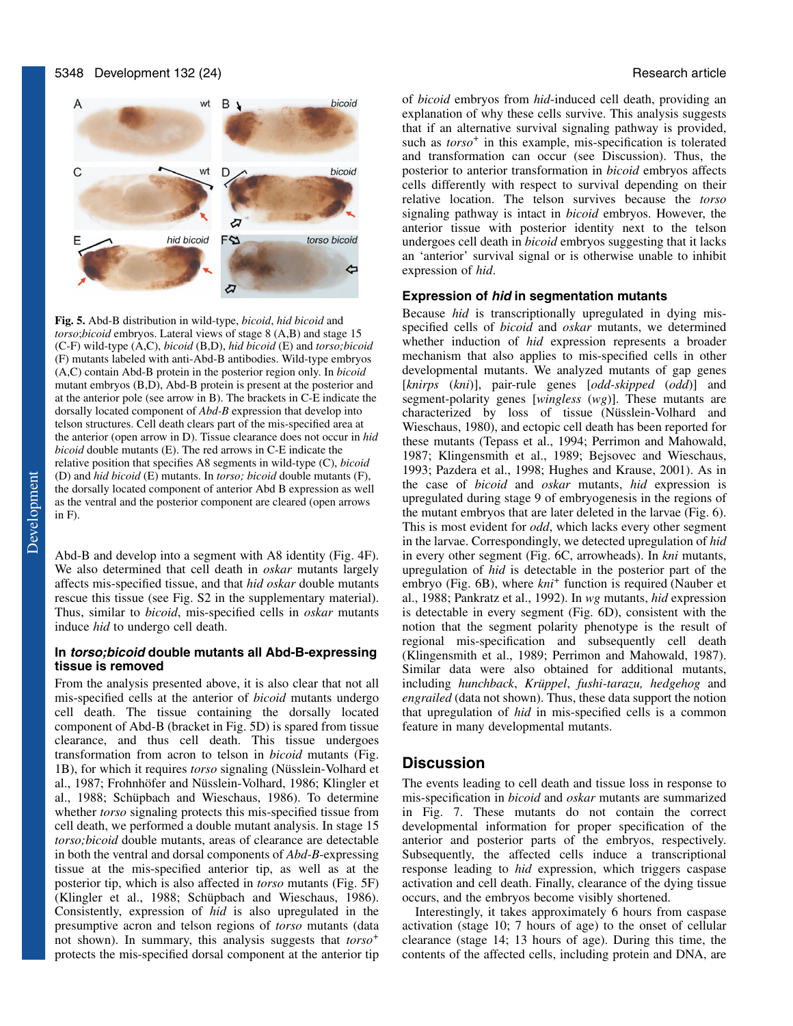

**Fig. 5.** Abd-B distribution in wild-type, *bicoid*, *hid bicoid* and *torso*;*bicoid* embryos. Lateral views of stage 8 (A,B) and stage 15 (C-F) wild-type (A,C), *bicoid* (B,D), *hid bicoid* (E) and *torso;bicoid* (F) mutants labeled with anti-Abd-B antibodies. Wild-type embryos (A,C) contain Abd-B protein in the posterior region only. In *bicoid* mutant embryos (B,D), Abd-B protein is present at the posterior and at the anterior pole (see arrow in B). The brackets in C-E indicate the dorsally located component of *Abd-B* expression that develop into telson structures. Cell death clears part of the mis-specified area at the anterior (open arrow in D). Tissue clearance does not occur in *hid bicoid* double mutants (E). The red arrows in C-E indicate the relative position that specifies A8 segments in wild-type (C), *bicoid* (D) and *hid bicoid* (E) mutants. In *torso; bicoid* double mutants (F), the dorsally located component of anterior Abd B expression as well as the ventral and the posterior component are cleared (open arrows in F).

Abd-B and develop into a segment with A8 identity (Fig. 4F). We also determined that cell death in *oskar* mutants largely affects mis-specified tissue, and that *hid oskar* double mutants rescue this tissue (see Fig. S2 in the supplementary material). Thus, similar to *bicoid*, mis-specified cells in *oskar* mutants induce *hid* to undergo cell death.

#### **In torso;bicoid double mutants all Abd-B-expressing tissue is removed**

From the analysis presented above, it is also clear that not all mis-specified cells at the anterior of *bicoid* mutants undergo cell death. The tissue containing the dorsally located component of Abd-B (bracket in Fig. 5D) is spared from tissue clearance, and thus cell death. This tissue undergoes transformation from acron to telson in *bicoid* mutants (Fig. 1B), for which it requires *torso* signaling (Nüsslein-Volhard et al., 1987; Frohnhöfer and Nüsslein-Volhard, 1986; Klingler et al., 1988; Schüpbach and Wieschaus, 1986). To determine whether *torso* signaling protects this mis-specified tissue from cell death, we performed a double mutant analysis. In stage 15 *torso;bicoid* double mutants, areas of clearance are detectable in both the ventral and dorsal components of *Abd-B*-expressing tissue at the mis-specified anterior tip, as well as at the posterior tip, which is also affected in *torso* mutants (Fig. 5F) (Klingler et al., 1988; Schüpbach and Wieschaus, 1986). Consistently, expression of *hid* is also upregulated in the presumptive acron and telson regions of *torso* mutants (data not shown). In summary, this analysis suggests that *torso+* protects the mis-specified dorsal component at the anterior tip

of *bicoid* embryos from *hid*-induced cell death, providing an explanation of why these cells survive. This analysis suggests that if an alternative survival signaling pathway is provided, such as *torso<sup>+</sup>* in this example, mis-specification is tolerated and transformation can occur (see Discussion). Thus, the posterior to anterior transformation in *bicoid* embryos affects cells differently with respect to survival depending on their relative location. The telson survives because the *torso* signaling pathway is intact in *bicoid* embryos. However, the anterior tissue with posterior identity next to the telson undergoes cell death in *bicoid* embryos suggesting that it lacks an 'anterior' survival signal or is otherwise unable to inhibit expression of *hid*.

#### **Expression of hid in segmentation mutants**

Because *hid* is transcriptionally upregulated in dying misspecified cells of *bicoid* and *oskar* mutants, we determined whether induction of *hid* expression represents a broader mechanism that also applies to mis-specified cells in other developmental mutants. We analyzed mutants of gap genes [*knirps* (*kni*)], pair-rule genes [*odd-skipped* (*odd*)] and segment-polarity genes [*wingless* (*wg*)]. These mutants are characterized by loss of tissue (Nüsslein-Volhard and Wieschaus, 1980), and ectopic cell death has been reported for these mutants (Tepass et al., 1994; Perrimon and Mahowald, 1987; Klingensmith et al., 1989; Bejsovec and Wieschaus, 1993; Pazdera et al., 1998; Hughes and Krause, 2001). As in the case of *bicoid* and *oskar* mutants, *hid* expression is upregulated during stage 9 of embryogenesis in the regions of the mutant embryos that are later deleted in the larvae (Fig. 6). This is most evident for *odd*, which lacks every other segment in the larvae. Correspondingly, we detected upregulation of *hid* in every other segment (Fig. 6C, arrowheads). In *kni* mutants, upregulation of *hid* is detectable in the posterior part of the embryo (Fig. 6B), where *kni+* function is required (Nauber et al., 1988; Pankratz et al., 1992). In *wg* mutants, *hid* expression is detectable in every segment (Fig. 6D), consistent with the notion that the segment polarity phenotype is the result of regional mis-specification and subsequently cell death (Klingensmith et al., 1989; Perrimon and Mahowald, 1987). Similar data were also obtained for additional mutants, including *hunchback*, *Krüppel*, *fushi-tarazu, hedgehog* and *engrailed* (data not shown). Thus, these data support the notion that upregulation of *hid* in mis-specified cells is a common feature in many developmental mutants.

## **Discussion**

The events leading to cell death and tissue loss in response to mis-specification in *bicoid* and *oskar* mutants are summarized in Fig. 7. These mutants do not contain the correct developmental information for proper specification of the anterior and posterior parts of the embryos, respectively. Subsequently, the affected cells induce a transcriptional response leading to *hid* expression, which triggers caspase activation and cell death. Finally, clearance of the dying tissue occurs, and the embryos become visibly shortened.

Interestingly, it takes approximately 6 hours from caspase activation (stage 10; 7 hours of age) to the onset of cellular clearance (stage 14; 13 hours of age). During this time, the contents of the affected cells, including protein and DNA, are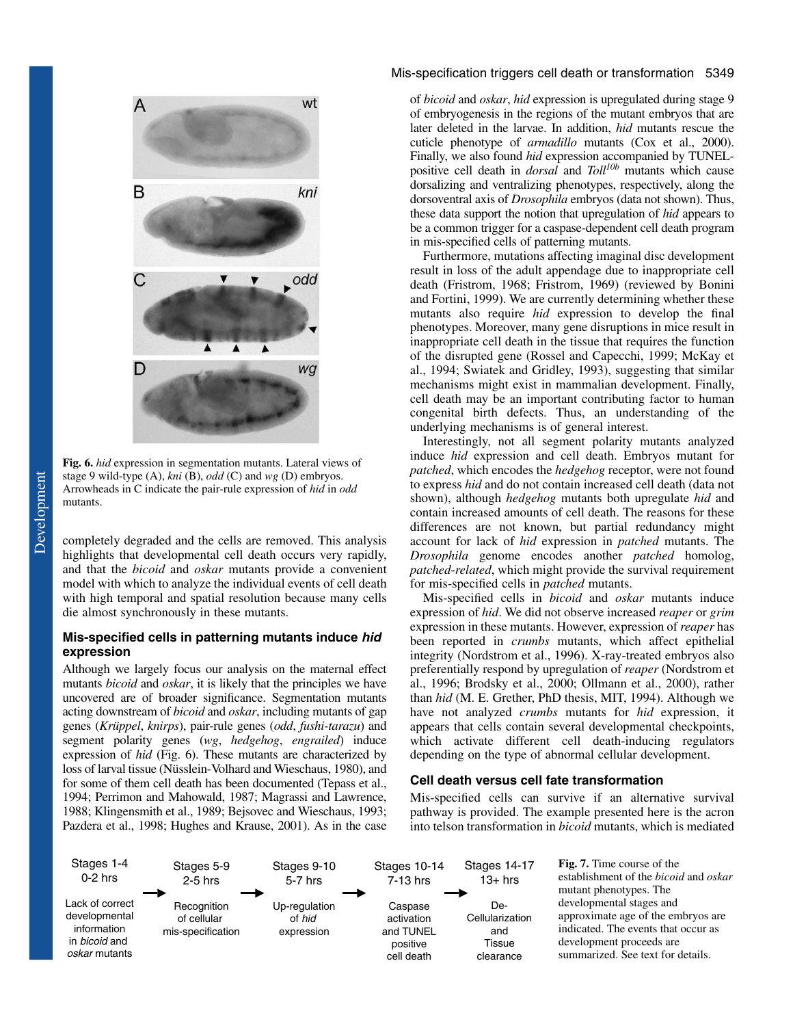

**Fig. 6.** *hid* expression in segmentation mutants. Lateral views of stage 9 wild-type (A), *kni* (B), *odd* (C) and *wg* (D) embryos. Arrowheads in C indicate the pair-rule expression of *hid* in *odd* mutants.

completely degraded and the cells are removed. This analysis highlights that developmental cell death occurs very rapidly, and that the *bicoid* and *oskar* mutants provide a convenient model with which to analyze the individual events of cell death with high temporal and spatial resolution because many cells die almost synchronously in these mutants.

#### **Mis-specified cells in patterning mutants induce hid expression**

Although we largely focus our analysis on the maternal effect mutants *bicoid* and *oskar*, it is likely that the principles we have uncovered are of broader significance. Segmentation mutants acting downstream of *bicoid* and *oskar*, including mutants of gap genes (*Krüppel*, *knirps*), pair-rule genes (*odd*, *fushi-tarazu*) and segment polarity genes (*wg*, *hedgehog*, *engrailed*) induce expression of *hid* (Fig. 6). These mutants are characterized by loss of larval tissue (Nüsslein-Volhard and Wieschaus, 1980), and for some of them cell death has been documented (Tepass et al., 1994; Perrimon and Mahowald, 1987; Magrassi and Lawrence, 1988; Klingensmith et al., 1989; Bejsovec and Wieschaus, 1993; Pazdera et al., 1998; Hughes and Krause, 2001). As in the case

#### Mis-specification triggers cell death or transformation 5349

of *bicoid* and *oskar*, *hid* expression is upregulated during stage 9 of embryogenesis in the regions of the mutant embryos that are later deleted in the larvae. In addition, *hid* mutants rescue the cuticle phenotype of *armadillo* mutants (Cox et al., 2000). Finally, we also found *hid* expression accompanied by TUNELpositive cell death in *dorsal* and *Toll10b* mutants which cause dorsalizing and ventralizing phenotypes, respectively, along the dorsoventral axis of *Drosophila* embryos (data not shown). Thus, these data support the notion that upregulation of *hid* appears to be a common trigger for a caspase-dependent cell death program in mis-specified cells of patterning mutants.

Furthermore, mutations affecting imaginal disc development result in loss of the adult appendage due to inappropriate cell death (Fristrom, 1968; Fristrom, 1969) (reviewed by Bonini and Fortini, 1999). We are currently determining whether these mutants also require *hid* expression to develop the final phenotypes. Moreover, many gene disruptions in mice result in inappropriate cell death in the tissue that requires the function of the disrupted gene (Rossel and Capecchi, 1999; McKay et al., 1994; Swiatek and Gridley, 1993), suggesting that similar mechanisms might exist in mammalian development. Finally, cell death may be an important contributing factor to human congenital birth defects. Thus, an understanding of the underlying mechanisms is of general interest.

Interestingly, not all segment polarity mutants analyzed induce *hid* expression and cell death. Embryos mutant for *patched*, which encodes the *hedgehog* receptor, were not found to express *hid* and do not contain increased cell death (data not shown), although *hedgehog* mutants both upregulate *hid* and contain increased amounts of cell death. The reasons for these differences are not known, but partial redundancy might account for lack of *hid* expression in *patched* mutants. The *Drosophila* genome encodes another *patched* homolog, *patched*-*related*, which might provide the survival requirement for mis-specified cells in *patched* mutants.

Mis-specified cells in *bicoid* and *oskar* mutants induce expression of *hid*. We did not observe increased *reaper* or *grim* expression in these mutants. However, expression of *reaper* has been reported in *crumbs* mutants, which affect epithelial integrity (Nordstrom et al., 1996). X-ray-treated embryos also preferentially respond by upregulation of *reaper* (Nordstrom et al., 1996; Brodsky et al., 2000; Ollmann et al., 2000), rather than *hid* (M. E. Grether, PhD thesis, MIT, 1994). Although we have not analyzed *crumbs* mutants for *hid* expression, it appears that cells contain several developmental checkpoints, which activate different cell death-inducing regulators depending on the type of abnormal cellular development.

#### **Cell death versus cell fate transformation**

Mis-specified cells can survive if an alternative survival pathway is provided. The example presented here is the acron into telson transformation in *bicoid* mutants, which is mediated



**Fig. 7.** Time course of the establishment of the *bicoid* and *oskar* mutant phenotypes. The developmental stages and approximate age of the embryos are indicated. The events that occur as development proceeds are summarized. See text for details.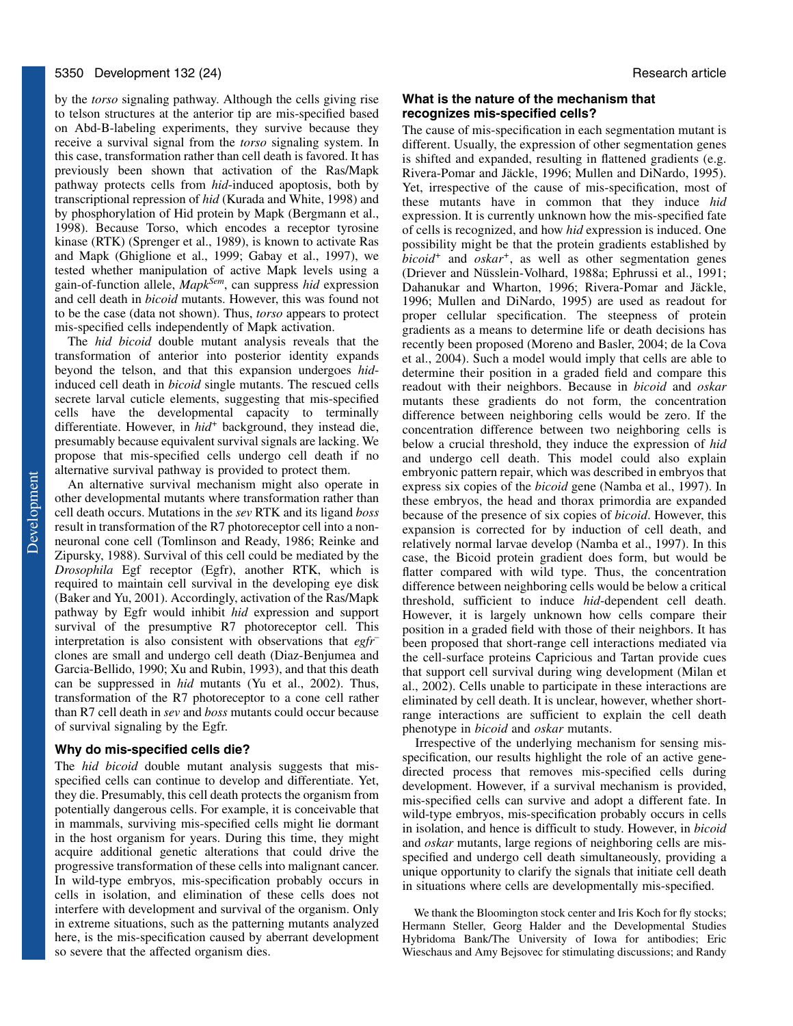by the *torso* signaling pathway. Although the cells giving rise to telson structures at the anterior tip are mis-specified based on Abd-B-labeling experiments, they survive because they receive a survival signal from the *torso* signaling system. In this case, transformation rather than cell death is favored. It has previously been shown that activation of the Ras/Mapk pathway protects cells from *hid*-induced apoptosis, both by transcriptional repression of *hid* (Kurada and White, 1998) and by phosphorylation of Hid protein by Mapk (Bergmann et al., 1998). Because Torso, which encodes a receptor tyrosine kinase (RTK) (Sprenger et al., 1989), is known to activate Ras and Mapk (Ghiglione et al., 1999; Gabay et al., 1997), we tested whether manipulation of active Mapk levels using a gain-of-function allele, *MapkSem*, can suppress *hid* expression and cell death in *bicoid* mutants. However, this was found not to be the case (data not shown). Thus, *torso* appears to protect mis-specified cells independently of Mapk activation.

The *hid bicoid* double mutant analysis reveals that the transformation of anterior into posterior identity expands beyond the telson, and that this expansion undergoes *hid*induced cell death in *bicoid* single mutants. The rescued cells secrete larval cuticle elements, suggesting that mis-specified cells have the developmental capacity to terminally differentiate. However, in *hid<sup>+</sup>* background, they instead die, presumably because equivalent survival signals are lacking. We propose that mis-specified cells undergo cell death if no alternative survival pathway is provided to protect them.

An alternative survival mechanism might also operate in other developmental mutants where transformation rather than cell death occurs. Mutations in the *sev* RTK and its ligand *boss* result in transformation of the R7 photoreceptor cell into a nonneuronal cone cell (Tomlinson and Ready, 1986; Reinke and Zipursky, 1988). Survival of this cell could be mediated by the *Drosophila* Egf receptor (Egfr), another RTK, which is required to maintain cell survival in the developing eye disk (Baker and Yu, 2001). Accordingly, activation of the Ras/Mapk pathway by Egfr would inhibit *hid* expression and support survival of the presumptive R7 photoreceptor cell. This interpretation is also consistent with observations that *egfr–* clones are small and undergo cell death (Diaz-Benjumea and Garcia-Bellido, 1990; Xu and Rubin, 1993), and that this death can be suppressed in *hid* mutants (Yu et al., 2002). Thus, transformation of the R7 photoreceptor to a cone cell rather than R7 cell death in *sev* and *boss* mutants could occur because of survival signaling by the Egfr.

#### **Why do mis-specified cells die?**

The *hid bicoid* double mutant analysis suggests that misspecified cells can continue to develop and differentiate. Yet, they die. Presumably, this cell death protects the organism from potentially dangerous cells. For example, it is conceivable that in mammals, surviving mis-specified cells might lie dormant in the host organism for years. During this time, they might acquire additional genetic alterations that could drive the progressive transformation of these cells into malignant cancer. In wild-type embryos, mis-specification probably occurs in cells in isolation, and elimination of these cells does not interfere with development and survival of the organism. Only in extreme situations, such as the patterning mutants analyzed here, is the mis-specification caused by aberrant development so severe that the affected organism dies.

#### **What is the nature of the mechanism that recognizes mis-specified cells?**

The cause of mis-specification in each segmentation mutant is different. Usually, the expression of other segmentation genes is shifted and expanded, resulting in flattened gradients (e.g. Rivera-Pomar and Jäckle, 1996; Mullen and DiNardo, 1995). Yet, irrespective of the cause of mis-specification, most of these mutants have in common that they induce *hid* expression. It is currently unknown how the mis-specified fate of cells is recognized, and how *hid* expression is induced. One possibility might be that the protein gradients established by *bicoid<sup>+</sup>* and *oskar<sup>+</sup>*, as well as other segmentation genes (Driever and Nüsslein-Volhard, 1988a; Ephrussi et al., 1991; Dahanukar and Wharton, 1996; Rivera-Pomar and Jäckle, 1996; Mullen and DiNardo, 1995) are used as readout for proper cellular specification. The steepness of protein gradients as a means to determine life or death decisions has recently been proposed (Moreno and Basler, 2004; de la Cova et al., 2004). Such a model would imply that cells are able to determine their position in a graded field and compare this readout with their neighbors. Because in *bicoid* and *oskar* mutants these gradients do not form, the concentration difference between neighboring cells would be zero. If the concentration difference between two neighboring cells is below a crucial threshold, they induce the expression of *hid* and undergo cell death. This model could also explain embryonic pattern repair, which was described in embryos that express six copies of the *bicoid* gene (Namba et al., 1997). In these embryos, the head and thorax primordia are expanded because of the presence of six copies of *bicoid*. However, this expansion is corrected for by induction of cell death, and relatively normal larvae develop (Namba et al., 1997). In this case, the Bicoid protein gradient does form, but would be flatter compared with wild type. Thus, the concentration difference between neighboring cells would be below a critical threshold, sufficient to induce *hid*-dependent cell death. However, it is largely unknown how cells compare their position in a graded field with those of their neighbors. It has been proposed that short-range cell interactions mediated via the cell-surface proteins Capricious and Tartan provide cues that support cell survival during wing development (Milan et al., 2002). Cells unable to participate in these interactions are eliminated by cell death. It is unclear, however, whether shortrange interactions are sufficient to explain the cell death phenotype in *bicoid* and *oskar* mutants.

Irrespective of the underlying mechanism for sensing misspecification, our results highlight the role of an active genedirected process that removes mis-specified cells during development. However, if a survival mechanism is provided, mis-specified cells can survive and adopt a different fate. In wild-type embryos, mis-specification probably occurs in cells in isolation, and hence is difficult to study. However, in *bicoid* and *oskar* mutants, large regions of neighboring cells are misspecified and undergo cell death simultaneously, providing a unique opportunity to clarify the signals that initiate cell death in situations where cells are developmentally mis-specified.

We thank the Bloomington stock center and Iris Koch for fly stocks; Hermann Steller, Georg Halder and the Developmental Studies Hybridoma Bank/The University of Iowa for antibodies; Eric Wieschaus and Amy Bejsovec for stimulating discussions; and Randy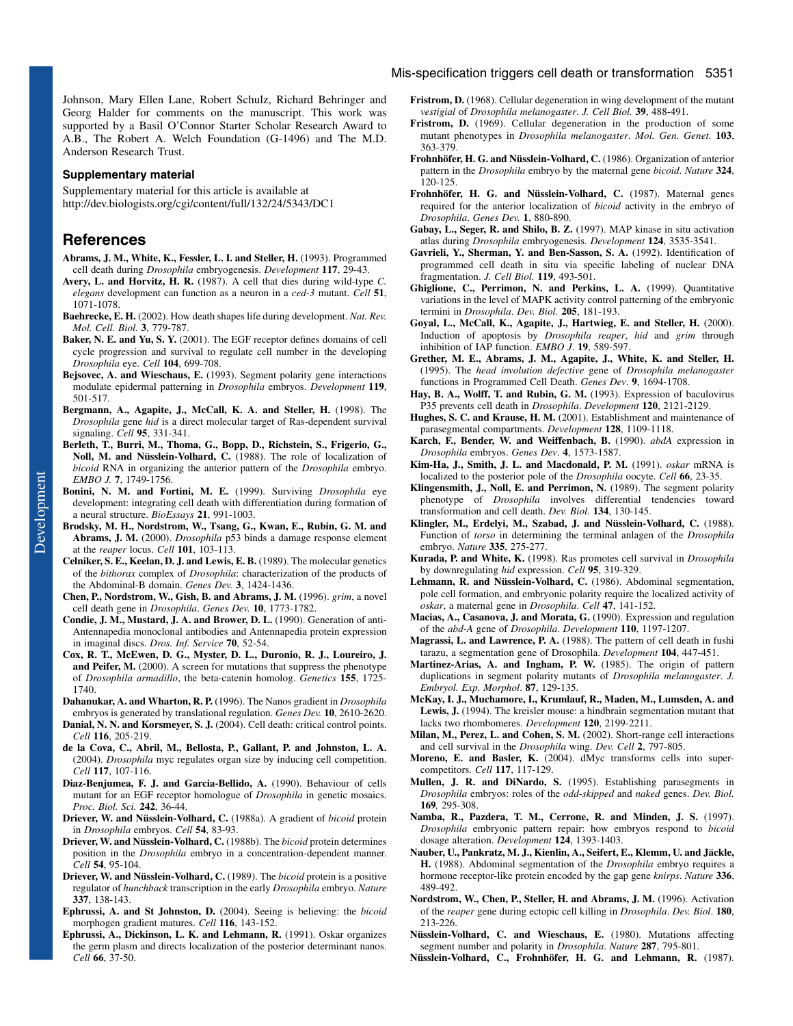Johnson, Mary Ellen Lane, Robert Schulz, Richard Behringer and Georg Halder for comments on the manuscript. This work was supported by a Basil O'Connor Starter Scholar Research Award to A.B., The Robert A. Welch Foundation (G-1496) and The M.D. Anderson Research Trust.

#### **Supplementary material**

Supplementary material for this article is available at http://dev.biologists.org/cgi/content/full/132/24/5343/DC1

#### **References**

- **Abrams, J. M., White, K., Fessler, L. I. and Steller, H.** (1993). Programmed cell death during *Drosophila* embryogenesis. *Development* **117**, 29-43.
- **Avery, L. and Horvitz, H. R.** (1987). A cell that dies during wild-type *C. elegans* development can function as a neuron in a *ced-3* mutant. *Cell* **51**, 1071-1078.
- **Baehrecke, E. H.** (2002). How death shapes life during development. *Nat. Rev. Mol. Cell. Biol.* **3**, 779-787.
- **Baker, N. E. and Yu, S. Y.** (2001). The EGF receptor defines domains of cell cycle progression and survival to regulate cell number in the developing *Drosophila* eye. *Cell* **104**, 699-708.
- **Bejsovec, A. and Wieschaus, E.** (1993). Segment polarity gene interactions modulate epidermal patterning in *Drosophila* embryos. *Development* **119**, 501-517.
- **Bergmann, A., Agapite, J., McCall, K. A. and Steller, H.** (1998). The *Drosophila* gene *hid* is a direct molecular target of Ras-dependent survival signaling. *Cell* **95**, 331-341.
- **Berleth, T., Burri, M., Thoma, G., Bopp, D., Richstein, S., Frigerio, G., Noll, M. and Nüsslein-Volhard, C.** (1988). The role of localization of *bicoid* RNA in organizing the anterior pattern of the *Drosophila* embryo. *EMBO J.* **7**, 1749-1756.
- **Bonini, N. M. and Fortini, M. E.** (1999). Surviving *Drosophila* eye development: integrating cell death with differentiation during formation of a neural structure. *BioEssays* **21**, 991-1003.
- **Brodsky, M. H., Nordstrom, W., Tsang, G., Kwan, E., Rubin, G. M. and Abrams, J. M.** (2000). *Drosophila* p53 binds a damage response element at the *reaper* locus. *Cell* **101**, 103-113.
- **Celniker, S. E., Keelan, D. J. and Lewis, E. B.** (1989). The molecular genetics of the *bithorax* complex of *Drosophila*: characterization of the products of the Abdominal-B domain. *Genes Dev.* **3**, 1424-1436.
- **Chen, P., Nordstrom, W., Gish, B. and Abrams, J. M.** (1996). *grim*, a novel cell death gene in *Drosophila*. *Genes Dev.* **10**, 1773-1782.
- **Condie, J. M., Mustard, J. A. and Brower, D. L.** (1990). Generation of anti-Antennapedia monoclonal antibodies and Antennapedia protein expression in imaginal discs. *Dros. Inf. Service* **70**, 52-54.
- **Cox, R. T., McEwen, D. G., Myster, D. L., Duronio, R. J., Loureiro, J. and Peifer, M.** (2000). A screen for mutations that suppress the phenotype of *Drosophila armadillo*, the beta-catenin homolog. *Genetics* **155**, 1725- 1740.
- **Dahanukar, A. and Wharton, R. P.** (1996). The Nanos gradient in *Drosophila* embryos is generated by translational regulation. *Genes Dev.* **10**, 2610-2620. **Danial, N. N. and Korsmeyer, S. J.** (2004). Cell death: critical control points. *Cell* **116**, 205-219.
- **de la Cova, C., Abril, M., Bellosta, P., Gallant, P. and Johnston, L. A.** (2004). *Drosophila* myc regulates organ size by inducing cell competition. *Cell* **117**, 107-116.
- **Diaz-Benjumea, F. J. and Garcia-Bellido, A.** (1990). Behaviour of cells mutant for an EGF receptor homologue of *Drosophila* in genetic mosaics. *Proc. Biol. Sci.* **242**, 36-44.
- **Driever, W. and Nüsslein-Volhard, C.** (1988a). A gradient of *bicoid* protein in *Drosophila* embryos. *Cell* **54**, 83-93.
- **Driever, W. and Nüsslein-Volhard, C.** (1988b). The *bicoid* protein determines position in the *Drosophila* embryo in a concentration-dependent manner. *Cell* **54**, 95-104.
- **Driever, W. and Nüsslein-Volhard, C.** (1989). The *bicoid* protein is a positive regulator of *hunchback* transcription in the early *Drosophila* embryo. *Nature* **337**, 138-143.
- **Ephrussi, A. and St Johnston, D.** (2004). Seeing is believing: the *bicoid* morphogen gradient matures. *Cell* **116**, 143-152.
- **Ephrussi, A., Dickinson, L. K. and Lehmann, R.** (1991). Oskar organizes the germ plasm and directs localization of the posterior determinant nanos. *Cell* **66**, 37-50.
- Mis-specification triggers cell death or transformation 5351
	- **Fristrom, D.** (1968). Cellular degeneration in wing development of the mutant *vestigial* of *Drosophila melanogaster*. *J. Cell Biol.* **39**, 488-491.
	- Fristrom, D. (1969). Cellular degeneration in the production of some mutant phenotypes in *Drosophila melanogaster*. *Mol. Gen. Genet.* **103**, 363-379.
	- **Frohnhöfer, H. G. and Nüsslein-Volhard, C.** (1986). Organization of anterior pattern in the *Drosophila* embryo by the maternal gene *bicoid*. *Nature* **324**, 120-125.
	- **Frohnhöfer, H. G. and Nüsslein-Volhard, C.** (1987). Maternal genes required for the anterior localization of *bicoid* activity in the embryo of *Drosophila*. *Genes Dev.* **1**, 880-890.
	- **Gabay, L., Seger, R. and Shilo, B. Z.** (1997). MAP kinase in situ activation atlas during *Drosophila* embryogenesis. *Development* **124**, 3535-3541.
	- **Gavrieli, Y., Sherman, Y. and Ben-Sasson, S. A.** (1992). Identification of programmed cell death in situ via specific labeling of nuclear DNA fragmentation. *J. Cell Biol.* **119**, 493-501.
	- **Ghiglione, C., Perrimon, N. and Perkins, L. A.** (1999). Quantitative variations in the level of MAPK activity control patterning of the embryonic termini in *Drosophila*. *Dev. Biol.* **205**, 181-193.
	- **Goyal, L., McCall, K., Agapite, J., Hartwieg, E. and Steller, H.** (2000). Induction of apoptosis by *Drosophila reaper*, *hid* and *grim* through inhibition of IAP function. *EMBO J*. **19**, 589-597.
	- **Grether, M. E., Abrams, J. M., Agapite, J., White, K. and Steller, H.** (1995). The *head involution defective* gene of *Drosophila melanogaster* functions in Programmed Cell Death. *Genes Dev*. **9**, 1694-1708.
	- **Hay, B. A., Wolff, T. and Rubin, G. M.** (1993). Expression of baculovirus P35 prevents cell death in *Drosophila*. *Development* **120**, 2121-2129.
	- **Hughes, S. C. and Krause, H. M.** (2001). Establishment and maintenance of parasegmental compartments. *Development* **128**, 1109-1118.
	- **Karch, F., Bender, W. and Weiffenbach, B.** (1990). *abdA* expression in *Drosophila* embryos. *Genes Dev*. **4**, 1573-1587.
	- **Kim-Ha, J., Smith, J. L. and Macdonald, P. M.** (1991). *oskar* mRNA is localized to the posterior pole of the *Drosophila* oocyte. *Cell* **66**, 23-35.
	- **Klingensmith, J., Noll, E. and Perrimon, N.** (1989). The segment polarity phenotype of *Drosophila* involves differential tendencies toward transformation and cell death. *Dev. Biol.* **134**, 130-145.
	- **Klingler, M., Erdelyi, M., Szabad, J. and Nüsslein-Volhard, C.** (1988). Function of *torso* in determining the terminal anlagen of the *Drosophila* embryo. *Nature* **335**, 275-277.
	- **Kurada, P. and White, K.** (1998). Ras promotes cell survival in *Drosophila* by downregulating *hid* expression. *Cell* **95**, 319-329.
	- **Lehmann, R. and Nüsslein-Volhard, C.** (1986). Abdominal segmentation, pole cell formation, and embryonic polarity require the localized activity of *oskar*, a maternal gene in *Drosophila*. *Cell* **47**, 141-152.
	- **Macias, A., Casanova, J. and Morata, G.** (1990). Expression and regulation of the *abd-A* gene of *Drosophila*. *Development* **110**, 1197-1207.
	- **Magrassi, L. and Lawrence, P. A.** (1988). The pattern of cell death in fushi tarazu, a segmentation gene of Drosophila. *Development* **104**, 447-451.
	- **Martinez-Arias, A. and Ingham, P. W.** (1985). The origin of pattern duplications in segment polarity mutants of *Drosophila melanogaster*. *J. Embryol. Exp. Morphol*. **87**, 129-135.
	- **McKay, I. J., Muchamore, I., Krumlauf, R., Maden, M., Lumsden, A. and Lewis, J.** (1994). The kreisler mouse: a hindbrain segmentation mutant that lacks two rhombomeres. *Development* **120**, 2199-2211.
	- **Milan, M., Perez, L. and Cohen, S. M.** (2002). Short-range cell interactions and cell survival in the *Drosophila* wing. *Dev. Cell* **2**, 797-805.
	- **Moreno, E. and Basler, K.** (2004). dMyc transforms cells into supercompetitors. *Cell* **117**, 117-129.
	- **Mullen, J. R. and DiNardo, S.** (1995). Establishing parasegments in *Drosophila* embryos: roles of the *odd*-*skipped* and *naked* genes. *Dev. Biol.* **169***,* 295-308.
	- **Namba, R., Pazdera, T. M., Cerrone, R. and Minden, J. S.** (1997). *Drosophila* embryonic pattern repair: how embryos respond to *bicoid* dosage alteration. *Development* **124**, 1393-1403.
	- **Nauber, U., Pankratz, M. J., Kienlin, A., Seifert, E., Klemm, U. and Jäckle, H.** (1988). Abdominal segmentation of the *Drosophila* embryo requires a hormone receptor-like protein encoded by the gap gene *knirps*. *Nature* **336**, 489-492.
	- **Nordstrom, W., Chen, P., Steller, H. and Abrams, J. M.** (1996). Activation of the *reaper* gene during ectopic cell killing in *Drosophila*. *Dev. Biol*. **180**, 213-226.
	- **Nüsslein-Volhard, C. and Wieschaus, E.** (1980). Mutations affecting segment number and polarity in *Drosophila*. *Nature* **287**, 795-801.
	- **Nüsslein-Volhard, C., Frohnhöfer, H. G. and Lehmann, R.** (1987).